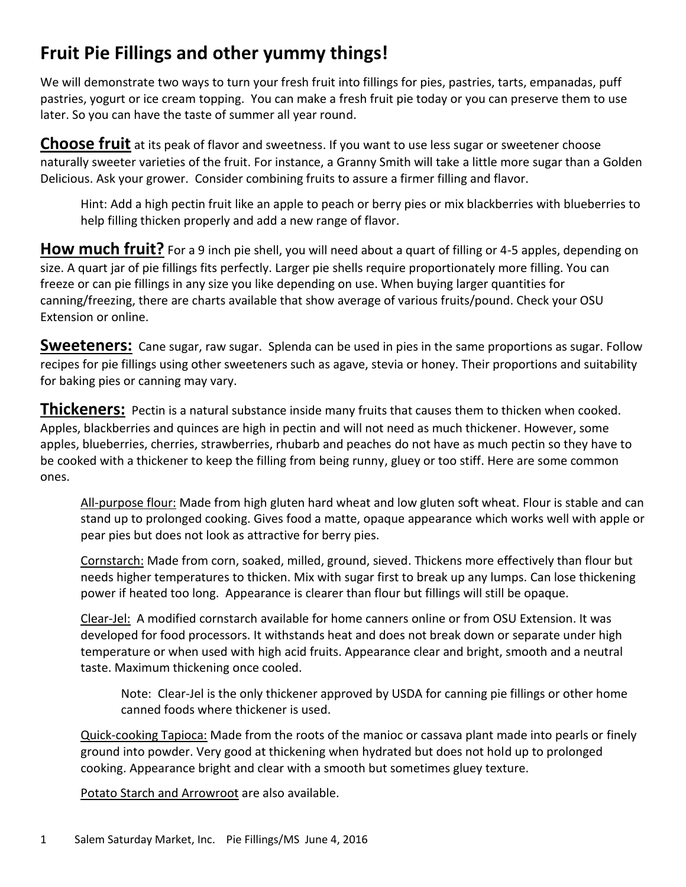# **Fruit Pie Fillings and other yummy things!**

We will demonstrate two ways to turn your fresh fruit into fillings for pies, pastries, tarts, empanadas, puff pastries, yogurt or ice cream topping. You can make a fresh fruit pie today or you can preserve them to use later. So you can have the taste of summer all year round.

**Choose fruit** at its peak of flavor and sweetness. If you want to use less sugar or sweetener choose naturally sweeter varieties of the fruit. For instance, a Granny Smith will take a little more sugar than a Golden Delicious. Ask your grower. Consider combining fruits to assure a firmer filling and flavor.

Hint: Add a high pectin fruit like an apple to peach or berry pies or mix blackberries with blueberries to help filling thicken properly and add a new range of flavor.

How much fruit? For a 9 inch pie shell, you will need about a quart of filling or 4-5 apples, depending on size. A quart jar of pie fillings fits perfectly. Larger pie shells require proportionately more filling. You can freeze or can pie fillings in any size you like depending on use. When buying larger quantities for canning/freezing, there are charts available that show average of various fruits/pound. Check your OSU Extension or online.

**Sweeteners:** Cane sugar, raw sugar. Splenda can be used in pies in the same proportions as sugar. Follow recipes for pie fillings using other sweeteners such as agave, stevia or honey. Their proportions and suitability for baking pies or canning may vary.

**Thickeners:** Pectin is a natural substance inside many fruits that causes them to thicken when cooked. Apples, blackberries and quinces are high in pectin and will not need as much thickener. However, some apples, blueberries, cherries, strawberries, rhubarb and peaches do not have as much pectin so they have to be cooked with a thickener to keep the filling from being runny, gluey or too stiff. Here are some common ones.

All-purpose flour: Made from high gluten hard wheat and low gluten soft wheat. Flour is stable and can stand up to prolonged cooking. Gives food a matte, opaque appearance which works well with apple or pear pies but does not look as attractive for berry pies.

Cornstarch: Made from corn, soaked, milled, ground, sieved. Thickens more effectively than flour but needs higher temperatures to thicken. Mix with sugar first to break up any lumps. Can lose thickening power if heated too long. Appearance is clearer than flour but fillings will still be opaque.

Clear-Jel: A modified cornstarch available for home canners online or from OSU Extension. It was developed for food processors. It withstands heat and does not break down or separate under high temperature or when used with high acid fruits. Appearance clear and bright, smooth and a neutral taste. Maximum thickening once cooled.

Note: Clear-Jel is the only thickener approved by USDA for canning pie fillings or other home canned foods where thickener is used.

Quick-cooking Tapioca: Made from the roots of the manioc or cassava plant made into pearls or finely ground into powder. Very good at thickening when hydrated but does not hold up to prolonged cooking. Appearance bright and clear with a smooth but sometimes gluey texture.

Potato Starch and Arrowroot are also available.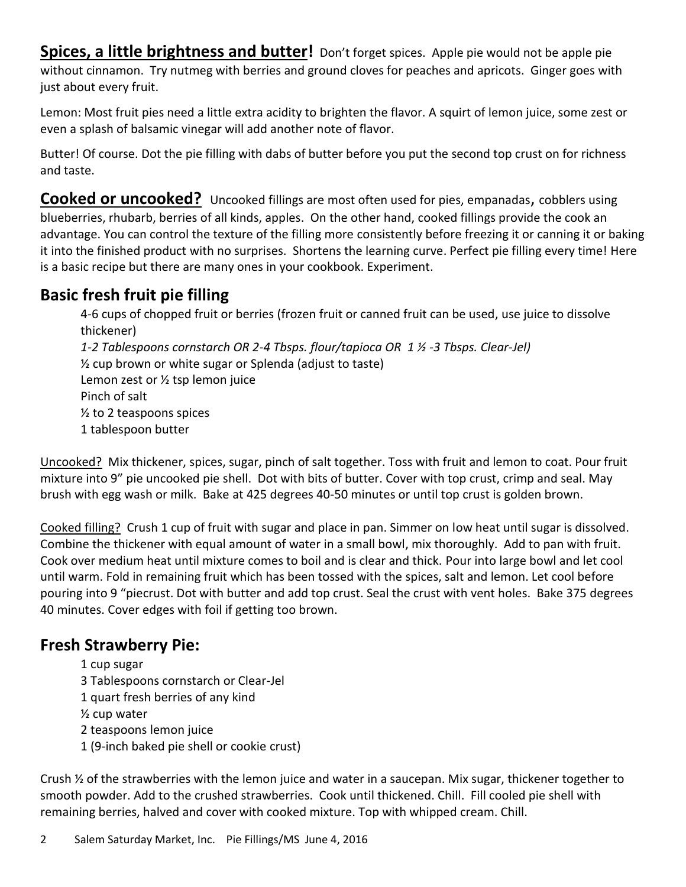**Spices, a little brightness and butter!** Don't forget spices. Apple pie would not be apple pie without cinnamon. Try nutmeg with berries and ground cloves for peaches and apricots. Ginger goes with just about every fruit.

Lemon: Most fruit pies need a little extra acidity to brighten the flavor. A squirt of lemon juice, some zest or even a splash of balsamic vinegar will add another note of flavor.

Butter! Of course. Dot the pie filling with dabs of butter before you put the second top crust on for richness and taste.

**Cooked or uncooked?** Uncooked fillings are most often used for pies, empanadas, cobblers using blueberries, rhubarb, berries of all kinds, apples. On the other hand, cooked fillings provide the cook an advantage. You can control the texture of the filling more consistently before freezing it or canning it or baking it into the finished product with no surprises. Shortens the learning curve. Perfect pie filling every time! Here is a basic recipe but there are many ones in your cookbook. Experiment.

# **Basic fresh fruit pie filling**

4-6 cups of chopped fruit or berries (frozen fruit or canned fruit can be used, use juice to dissolve thickener) *1-2 Tablespoons cornstarch OR 2-4 Tbsps. flour/tapioca OR 1 ½ -3 Tbsps. Clear-Jel)* ½ cup brown or white sugar or Splenda (adjust to taste) Lemon zest or ½ tsp lemon juice Pinch of salt ½ to 2 teaspoons spices 1 tablespoon butter

Uncooked? Mix thickener, spices, sugar, pinch of salt together. Toss with fruit and lemon to coat. Pour fruit mixture into 9" pie uncooked pie shell. Dot with bits of butter. Cover with top crust, crimp and seal. May brush with egg wash or milk. Bake at 425 degrees 40-50 minutes or until top crust is golden brown.

Cooked filling? Crush 1 cup of fruit with sugar and place in pan. Simmer on low heat until sugar is dissolved. Combine the thickener with equal amount of water in a small bowl, mix thoroughly. Add to pan with fruit. Cook over medium heat until mixture comes to boil and is clear and thick. Pour into large bowl and let cool until warm. Fold in remaining fruit which has been tossed with the spices, salt and lemon. Let cool before pouring into 9 "piecrust. Dot with butter and add top crust. Seal the crust with vent holes. Bake 375 degrees 40 minutes. Cover edges with foil if getting too brown.

# **Fresh Strawberry Pie:**

1 cup sugar 3 Tablespoons cornstarch or Clear-Jel 1 quart fresh berries of any kind ½ cup water 2 teaspoons lemon juice 1 (9-inch baked pie shell or cookie crust)

Crush  $\frac{1}{2}$  of the strawberries with the lemon juice and water in a saucepan. Mix sugar, thickener together to smooth powder. Add to the crushed strawberries. Cook until thickened. Chill. Fill cooled pie shell with remaining berries, halved and cover with cooked mixture. Top with whipped cream. Chill.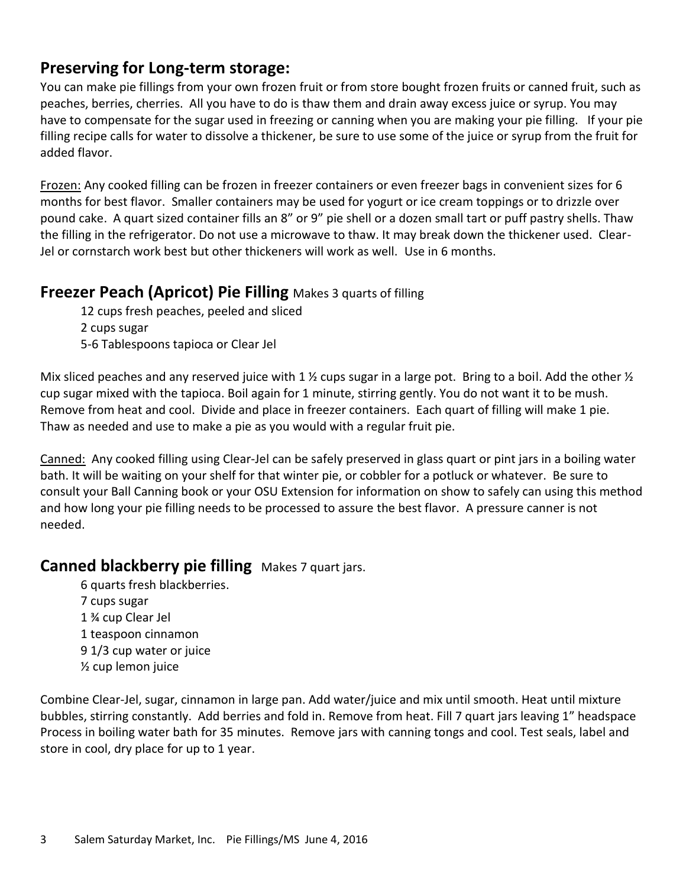## **Preserving for Long-term storage:**

You can make pie fillings from your own frozen fruit or from store bought frozen fruits or canned fruit, such as peaches, berries, cherries. All you have to do is thaw them and drain away excess juice or syrup. You may have to compensate for the sugar used in freezing or canning when you are making your pie filling. If your pie filling recipe calls for water to dissolve a thickener, be sure to use some of the juice or syrup from the fruit for added flavor.

Frozen: Any cooked filling can be frozen in freezer containers or even freezer bags in convenient sizes for 6 months for best flavor. Smaller containers may be used for yogurt or ice cream toppings or to drizzle over pound cake. A quart sized container fills an 8" or 9" pie shell or a dozen small tart or puff pastry shells. Thaw the filling in the refrigerator. Do not use a microwave to thaw. It may break down the thickener used. Clear-Jel or cornstarch work best but other thickeners will work as well. Use in 6 months.

#### **Freezer Peach (Apricot) Pie Filling** Makes 3 quarts of filling

12 cups fresh peaches, peeled and sliced 2 cups sugar 5-6 Tablespoons tapioca or Clear Jel

Mix sliced peaches and any reserved juice with 1  $\frac{1}{2}$  cups sugar in a large pot. Bring to a boil. Add the other  $\frac{1}{2}$ cup sugar mixed with the tapioca. Boil again for 1 minute, stirring gently. You do not want it to be mush. Remove from heat and cool. Divide and place in freezer containers. Each quart of filling will make 1 pie. Thaw as needed and use to make a pie as you would with a regular fruit pie.

Canned: Any cooked filling using Clear-Jel can be safely preserved in glass quart or pint jars in a boiling water bath. It will be waiting on your shelf for that winter pie, or cobbler for a potluck or whatever. Be sure to consult your Ball Canning book or your OSU Extension for information on show to safely can using this method and how long your pie filling needs to be processed to assure the best flavor. A pressure canner is not needed.

### **Canned blackberry pie filling** Makes 7 quart jars.

6 quarts fresh blackberries. 7 cups sugar 1 ¾ cup Clear Jel 1 teaspoon cinnamon 9 1/3 cup water or juice ½ cup lemon juice

Combine Clear-Jel, sugar, cinnamon in large pan. Add water/juice and mix until smooth. Heat until mixture bubbles, stirring constantly. Add berries and fold in. Remove from heat. Fill 7 quart jars leaving 1" headspace Process in boiling water bath for 35 minutes. Remove jars with canning tongs and cool. Test seals, label and store in cool, dry place for up to 1 year.